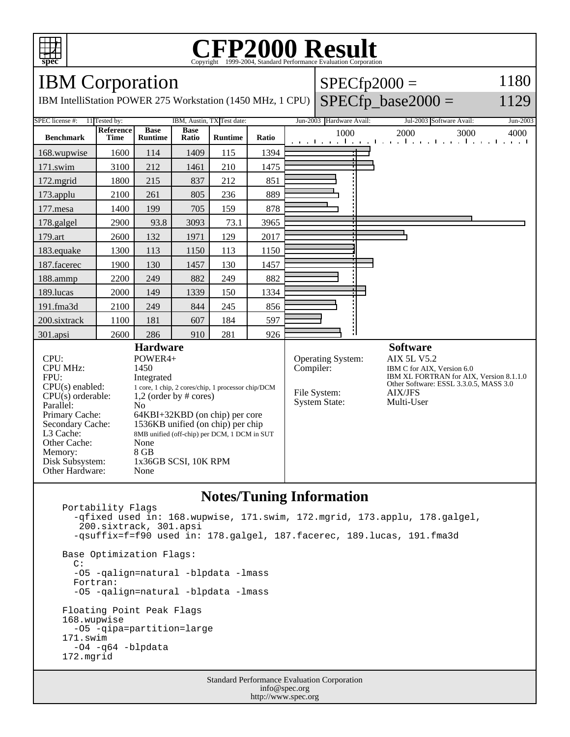

## Copyright ©1999-2004, Standard Performance Evaluation Corporation

| <b>IBM</b> Corporation                                                                                                                                                                                                                                                                                                                                                                                                                                                                                                                      |                          |                               |                      |                |           |                                                                  | $SPECfp2000 =$           |                                                                                                                                                                                          |                                                                  |          |
|---------------------------------------------------------------------------------------------------------------------------------------------------------------------------------------------------------------------------------------------------------------------------------------------------------------------------------------------------------------------------------------------------------------------------------------------------------------------------------------------------------------------------------------------|--------------------------|-------------------------------|----------------------|----------------|-----------|------------------------------------------------------------------|--------------------------|------------------------------------------------------------------------------------------------------------------------------------------------------------------------------------------|------------------------------------------------------------------|----------|
| $SPECfp\_base2000 =$<br>IBM IntelliStation POWER 275 Workstation (1450 MHz, 1 CPU)<br>1129                                                                                                                                                                                                                                                                                                                                                                                                                                                  |                          |                               |                      |                |           |                                                                  |                          |                                                                                                                                                                                          |                                                                  |          |
| SPEC license #:<br>11 Tested by:<br>IBM, Austin, TX Test date:                                                                                                                                                                                                                                                                                                                                                                                                                                                                              |                          |                               |                      |                |           |                                                                  | Jun-2003 Hardware Avail: |                                                                                                                                                                                          | Jul-2003 Software Avail:                                         | Jun-2003 |
| <b>Benchmark</b>                                                                                                                                                                                                                                                                                                                                                                                                                                                                                                                            | Reference<br><b>Time</b> | <b>Base</b><br><b>Runtime</b> | <b>Base</b><br>Ratio | <b>Runtime</b> | Ratio     | 1000                                                             |                          |                                                                                                                                                                                          | 2000<br>3000<br>التعبيلية وبالتعبيلية وبالتعبيل والمعتال وبالتعب | 4000     |
| 168.wupwise                                                                                                                                                                                                                                                                                                                                                                                                                                                                                                                                 | 1600                     | 114                           | 1409                 | 115            | 1394      |                                                                  |                          |                                                                                                                                                                                          |                                                                  |          |
| 171.swim                                                                                                                                                                                                                                                                                                                                                                                                                                                                                                                                    | 3100                     | 212                           | 1461                 | 210            | 1475      |                                                                  |                          |                                                                                                                                                                                          |                                                                  |          |
| 172.mgrid                                                                                                                                                                                                                                                                                                                                                                                                                                                                                                                                   | 1800                     | 215                           | 837                  | 212            | 851       |                                                                  |                          |                                                                                                                                                                                          |                                                                  |          |
| 173.applu                                                                                                                                                                                                                                                                                                                                                                                                                                                                                                                                   | 2100                     | 261                           | 805                  | 236            | 889       |                                                                  |                          |                                                                                                                                                                                          |                                                                  |          |
| 177.mesa                                                                                                                                                                                                                                                                                                                                                                                                                                                                                                                                    | 1400                     | 199                           | 705                  | 159            | 878       |                                                                  |                          |                                                                                                                                                                                          |                                                                  |          |
| 178.galgel                                                                                                                                                                                                                                                                                                                                                                                                                                                                                                                                  | 2900                     | 93.8                          | 3093                 | 73.1           | 3965      |                                                                  |                          |                                                                                                                                                                                          |                                                                  |          |
| 179.art                                                                                                                                                                                                                                                                                                                                                                                                                                                                                                                                     | 2600                     | 132                           | 1971                 | 129            | 2017      |                                                                  |                          |                                                                                                                                                                                          |                                                                  |          |
| 183.equake                                                                                                                                                                                                                                                                                                                                                                                                                                                                                                                                  | 1300                     | 113                           | 1150                 | 113            | 1150      |                                                                  |                          |                                                                                                                                                                                          |                                                                  |          |
| 187.facerec                                                                                                                                                                                                                                                                                                                                                                                                                                                                                                                                 | 1900                     | 130                           | 1457                 | 130            | 1457      |                                                                  |                          |                                                                                                                                                                                          |                                                                  |          |
| 188.ammp                                                                                                                                                                                                                                                                                                                                                                                                                                                                                                                                    | 2200                     | 249                           | 882                  | 249            | 882       |                                                                  |                          |                                                                                                                                                                                          |                                                                  |          |
| 189.lucas                                                                                                                                                                                                                                                                                                                                                                                                                                                                                                                                   | 2000                     | 149                           | 1339                 | 150            | 1334      |                                                                  |                          |                                                                                                                                                                                          |                                                                  |          |
| 191.fma3d                                                                                                                                                                                                                                                                                                                                                                                                                                                                                                                                   | 2100                     | 249                           | 844                  | 245            | 856       |                                                                  |                          |                                                                                                                                                                                          |                                                                  |          |
| 200.sixtrack                                                                                                                                                                                                                                                                                                                                                                                                                                                                                                                                | 1100                     | 181                           | 607                  | 184            | 597       |                                                                  |                          |                                                                                                                                                                                          |                                                                  |          |
| 301.apsi                                                                                                                                                                                                                                                                                                                                                                                                                                                                                                                                    | 2600                     | 286                           | 910                  | 281            | 926       |                                                                  |                          |                                                                                                                                                                                          |                                                                  |          |
| <b>Hardware</b><br>CPU:<br>POWER4+<br><b>CPU MHz:</b><br>1450<br>FPU:<br>Integrated<br>$CPU(s)$ enabled:<br>1 core, 1 chip, 2 cores/chip, 1 processor chip/DCM<br>$CPU(s)$ orderable:<br>$1,2$ (order by # cores)<br>Parallel:<br>N <sub>0</sub><br>Primary Cache:<br>64KBI+32KBD (on chip) per core<br>1536KB unified (on chip) per chip<br>Secondary Cache:<br>L3 Cache:<br>8MB unified (off-chip) per DCM, 1 DCM in SUT<br>Other Cache:<br>None<br>8 GB<br>Memory:<br>1x36GB SCSI, 10K RPM<br>Disk Subsystem:<br>Other Hardware:<br>None |                          |                               |                      |                | Compiler: | <b>Operating System:</b><br>File System:<br><b>System State:</b> |                          | <b>Software</b><br><b>AIX 5L V5.2</b><br>IBM C for AIX, Version 6.0<br>IBM XL FORTRAN for AIX, Version 8.1.1.0<br>Other Software: ESSL 3.3.0.5, MASS 3.0<br><b>AIX/JFS</b><br>Multi-User |                                                                  |          |
| <b>CONTRACTOR</b>                                                                                                                                                                                                                                                                                                                                                                                                                                                                                                                           |                          |                               |                      |                |           |                                                                  |                          |                                                                                                                                                                                          |                                                                  |          |

## **Notes/Tuning Information**

Standard Performance Evaluation Corporation Portability Flags -qfixed used in: 168.wupwise, 171.swim, 172.mgrid, 173.applu, 178.galgel, 200.sixtrack, 301.apsi -qsuffix=f=f90 used in: 178.galgel, 187.facerec, 189.lucas, 191.fma3d Base Optimization Flags: C: -O5 -qalign=natural -blpdata -lmass Fortran: -O5 -qalign=natural -blpdata -lmass Floating Point Peak Flags 168.wupwise -O5 -qipa=partition=large 171.swim -O4 -q64 -blpdata 172.mgrid

info@spec.org http://www.spec.org